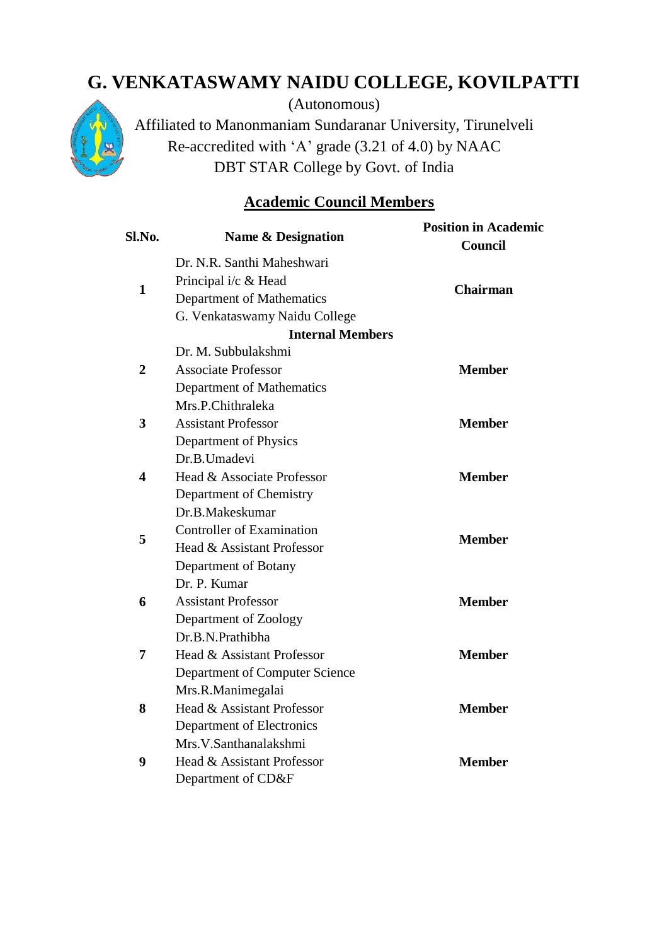## **G. VENKATASWAMY NAIDU COLLEGE, KOVILPATTI**



(Autonomous)

Affiliated to Manonmaniam Sundaranar University, Tirunelveli Re-accredited with 'A' grade (3.21 of 4.0) by NAAC DBT STAR College by Govt. of India

## **Academic Council Members**

| Sl.No.       | Name & Designation             | <b>Position in Academic</b><br><b>Council</b> |
|--------------|--------------------------------|-----------------------------------------------|
| $\mathbf{1}$ | Dr. N.R. Santhi Maheshwari     | <b>Chairman</b>                               |
|              | Principal i/c & Head           |                                               |
|              | Department of Mathematics      |                                               |
|              | G. Venkataswamy Naidu College  |                                               |
|              | <b>Internal Members</b>        |                                               |
| 2            | Dr. M. Subbulakshmi            | <b>Member</b>                                 |
|              | <b>Associate Professor</b>     |                                               |
|              | Department of Mathematics      |                                               |
|              | Mrs.P.Chithraleka              |                                               |
| 3            | <b>Assistant Professor</b>     | <b>Member</b>                                 |
|              | Department of Physics          |                                               |
| 4            | Dr.B.Umadevi                   | <b>Member</b>                                 |
|              | Head & Associate Professor     |                                               |
|              | Department of Chemistry        |                                               |
| 5            | Dr.B.Makeskumar                | <b>Member</b>                                 |
|              | Controller of Examination      |                                               |
|              | Head & Assistant Professor     |                                               |
|              | Department of Botany           |                                               |
|              | Dr. P. Kumar                   |                                               |
| 6            | <b>Assistant Professor</b>     | <b>Member</b>                                 |
|              | Department of Zoology          |                                               |
| 7            | Dr.B.N.Prathibha               |                                               |
|              | Head & Assistant Professor     | <b>Member</b>                                 |
|              | Department of Computer Science |                                               |
| 8            | Mrs.R.Manimegalai              |                                               |
|              | Head & Assistant Professor     | <b>Member</b>                                 |
|              | Department of Electronics      |                                               |
| 9            | Mrs.V.Santhanalakshmi          | <b>Member</b>                                 |
|              | Head & Assistant Professor     |                                               |
|              | Department of CD&F             |                                               |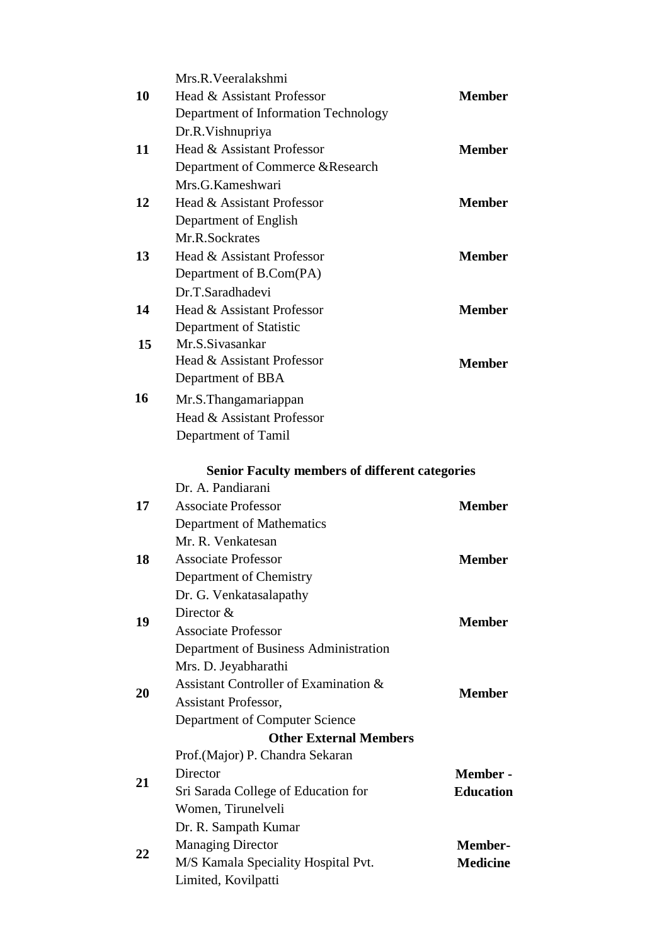|    | Mrs.R.Veeralakshmi                                    |                  |
|----|-------------------------------------------------------|------------------|
| 10 | Head & Assistant Professor                            | <b>Member</b>    |
|    | Department of Information Technology                  |                  |
|    | Dr.R.Vishnupriya                                      |                  |
| 11 | Head & Assistant Professor                            | <b>Member</b>    |
|    | Department of Commerce & Research                     |                  |
|    | Mrs.G.Kameshwari                                      |                  |
| 12 | Head & Assistant Professor                            | <b>Member</b>    |
|    | Department of English                                 |                  |
|    | Mr.R.Sockrates                                        |                  |
| 13 | Head & Assistant Professor                            | <b>Member</b>    |
|    | Department of B.Com(PA)                               |                  |
|    | Dr.T.Saradhadevi                                      |                  |
| 14 | Head & Assistant Professor                            | <b>Member</b>    |
|    | Department of Statistic                               |                  |
| 15 | Mr.S.Sivasankar                                       |                  |
|    | Head & Assistant Professor                            | <b>Member</b>    |
|    | Department of BBA                                     |                  |
| 16 | Mr.S.Thangamariappan                                  |                  |
|    | Head & Assistant Professor                            |                  |
|    | Department of Tamil                                   |                  |
|    |                                                       |                  |
|    | <b>Senior Faculty members of different categories</b> |                  |
|    | Dr. A. Pandiarani                                     |                  |
| 17 | <b>Associate Professor</b>                            | <b>Member</b>    |
|    | Department of Mathematics                             |                  |
|    | Mr. R. Venkatesan                                     |                  |
| 18 | <b>Associate Professor</b>                            | <b>Member</b>    |
|    | Department of Chemistry                               |                  |
|    | Dr. G. Venkatasalapathy                               |                  |
| 19 | Director &                                            | <b>Member</b>    |
|    | <b>Associate Professor</b>                            |                  |
|    | Department of Business Administration                 |                  |
|    | Mrs. D. Jeyabharathi                                  |                  |
| 20 | Assistant Controller of Examination &                 | <b>Member</b>    |
|    | <b>Assistant Professor,</b>                           |                  |
|    | Department of Computer Science                        |                  |
|    | <b>Other External Members</b>                         |                  |
|    | Prof. (Major) P. Chandra Sekaran<br>Director          | <b>Member -</b>  |
| 21 | Sri Sarada College of Education for                   | <b>Education</b> |
|    | Women, Tirunelveli                                    |                  |
|    |                                                       |                  |
| 22 | Dr. R. Sampath Kumar<br><b>Managing Director</b>      | <b>Member-</b>   |
|    | M/S Kamala Speciality Hospital Pvt.                   | <b>Medicine</b>  |
|    | Limited, Kovilpatti                                   |                  |
|    |                                                       |                  |